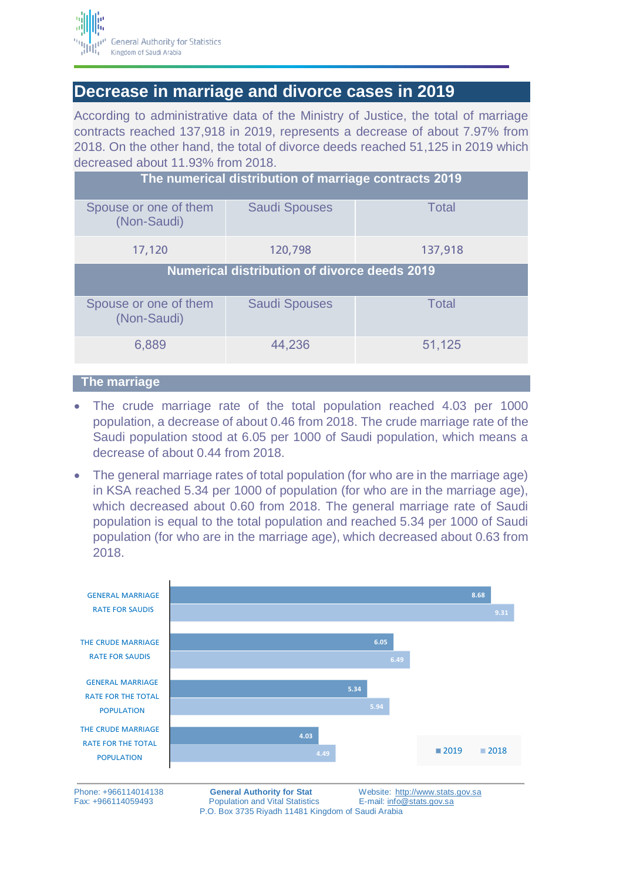

## **Decrease in marriage and divorce cases in 2019**

According to administrative data of the Ministry of Justice, the total of marriage contracts reached 137,918 in 2019, represents a decrease of about 7.97% from 2018. On the other hand, the total of divorce deeds reached 51,125 in 2019 which decreased about 11.93% from 2018.

| The numerical distribution of marriage contracts 2019 |                      |              |
|-------------------------------------------------------|----------------------|--------------|
| Spouse or one of them<br>(Non-Saudi)                  | <b>Saudi Spouses</b> | <b>Total</b> |
| 17,120                                                | 120,798              | 137,918      |
| Numerical distribution of divorce deeds 2019          |                      |              |
| Spouse or one of them<br>(Non-Saudi)                  | <b>Saudi Spouses</b> | <b>Total</b> |
| 6,889                                                 | 44,236               | 51,125       |
|                                                       |                      |              |

## **The marriage**

- The crude marriage rate of the total population reached 4.03 per 1000 population, a decrease of about 0.46 from 2018. The crude marriage rate of the Saudi population stood at 6.05 per 1000 of Saudi population, which means a decrease of about 0.44 from 2018.
- The general marriage rates of total population (for who are in the marriage age) in KSA reached 5.34 per 1000 of population (for who are in the marriage age), which decreased about 0.60 from 2018. The general marriage rate of Saudi population is equal to the total population and reached 5.34 per 1000 of Saudi population (for who are in the marriage age), which decreased about 0.63 from 2018.



Fax: +966114059493 Population and Vital Statistics E-mail: [info@stats.gov.sa](mailto:info@stats.gov.sa) P.O. Box 3735 Riyadh 11481 Kingdom of Saudi Arabia

Phone: +966114014138 **General Authority for Stat** Website: [http://www.stats.gov.sa](http://www.stats.gov.sa/)